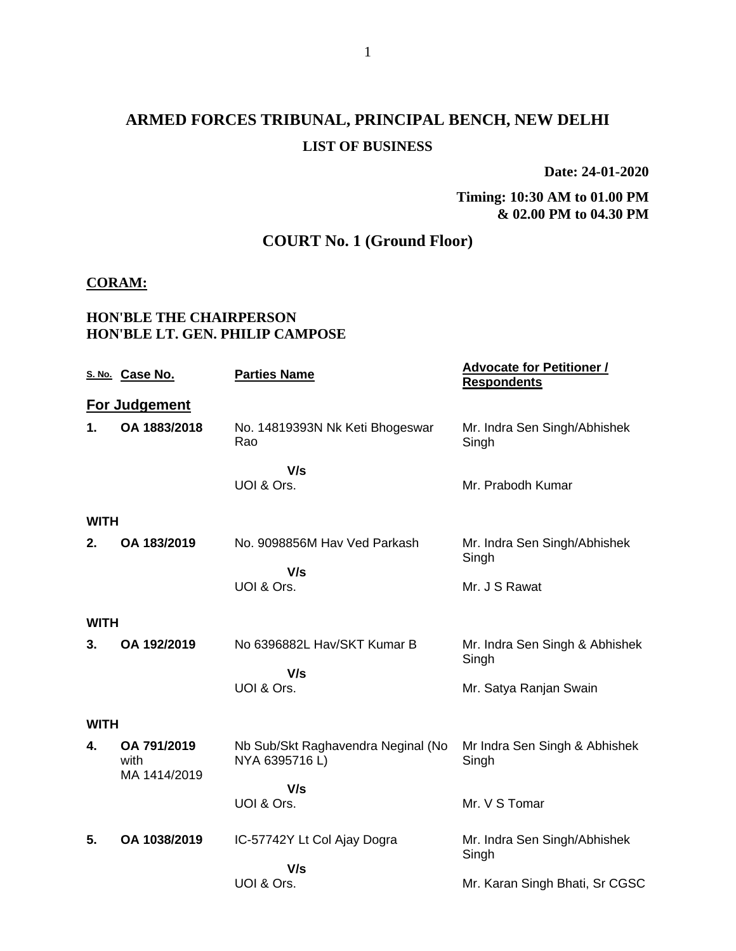# **ARMED FORCES TRIBUNAL, PRINCIPAL BENCH, NEW DELHI LIST OF BUSINESS**

**Date: 24-01-2020**

#### **Timing: 10:30 AM to 01.00 PM & 02.00 PM to 04.30 PM**

# **COURT No. 1 (Ground Floor)**

#### **CORAM:**

#### **HON'BLE THE CHAIRPERSON HON'BLE LT. GEN. PHILIP CAMPOSE**

|             | S. No. Case No.                     | <b>Parties Name</b>                                  | <b>Advocate for Petitioner /</b><br><b>Respondents</b> |
|-------------|-------------------------------------|------------------------------------------------------|--------------------------------------------------------|
|             | For Judgement                       |                                                      |                                                        |
| 1.          | OA 1883/2018                        | No. 14819393N Nk Keti Bhogeswar<br>Rao               | Mr. Indra Sen Singh/Abhishek<br>Singh                  |
|             |                                     | V/s<br>UOI & Ors.                                    | Mr. Prabodh Kumar                                      |
| <b>WITH</b> |                                     |                                                      |                                                        |
| 2.          | OA 183/2019                         | No. 9098856M Hav Ved Parkash                         | Mr. Indra Sen Singh/Abhishek<br>Singh                  |
|             |                                     | V/s<br>UOI & Ors.                                    | Mr. J S Rawat                                          |
| <b>WITH</b> |                                     |                                                      |                                                        |
| 3.          | OA 192/2019                         | No 6396882L Hav/SKT Kumar B                          | Mr. Indra Sen Singh & Abhishek<br>Singh                |
|             |                                     | V/s<br>UOI & Ors.                                    | Mr. Satya Ranjan Swain                                 |
| <b>WITH</b> |                                     |                                                      |                                                        |
| 4.          | OA 791/2019<br>with<br>MA 1414/2019 | Nb Sub/Skt Raghavendra Neginal (No<br>NYA 6395716 L) | Mr Indra Sen Singh & Abhishek<br>Singh                 |
|             |                                     | V/s<br>UOI & Ors.                                    | Mr. V S Tomar                                          |
| 5.          | OA 1038/2019                        | IC-57742Y Lt Col Ajay Dogra                          | Mr. Indra Sen Singh/Abhishek<br>Singh                  |
|             |                                     | V/s<br>UOI & Ors.                                    | Mr. Karan Singh Bhati, Sr CGSC                         |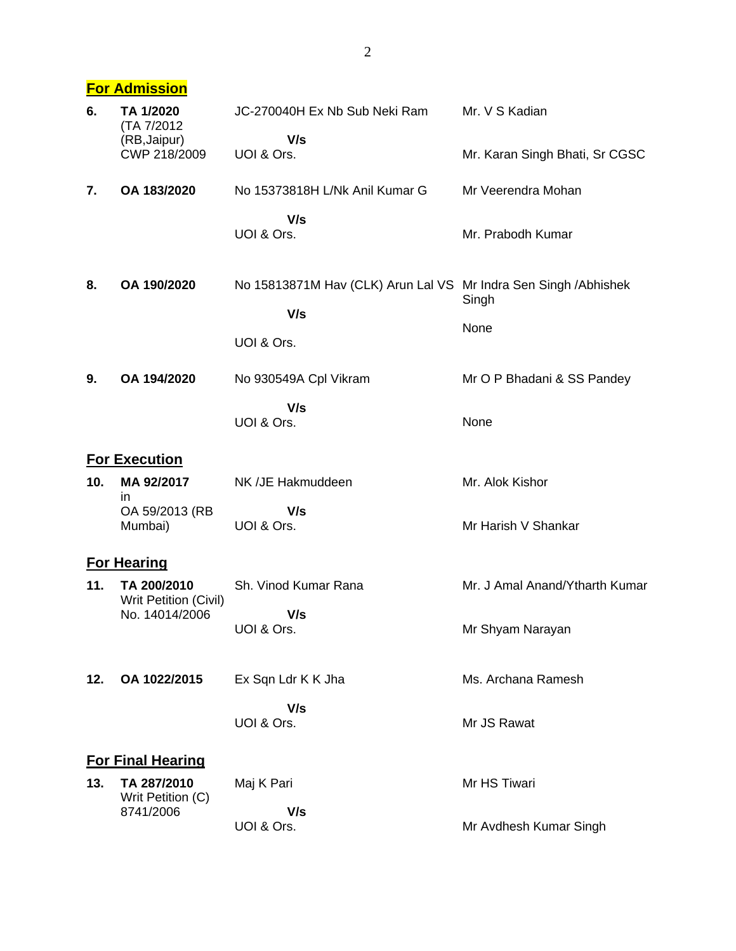## **For Admission**

| 6.  | TA 1/2020<br>(TA 7/2012)             | JC-270040H Ex Nb Sub Neki Ram                                           | Mr. V S Kadian                 |
|-----|--------------------------------------|-------------------------------------------------------------------------|--------------------------------|
|     | (RB, Jaipur)<br>CWP 218/2009         | V/s<br>UOI & Ors.                                                       | Mr. Karan Singh Bhati, Sr CGSC |
| 7.  | OA 183/2020                          | No 15373818H L/Nk Anil Kumar G                                          | Mr Veerendra Mohan             |
|     |                                      | V/s<br>UOI & Ors.                                                       | Mr. Prabodh Kumar              |
| 8.  | OA 190/2020                          | No 15813871M Hav (CLK) Arun Lal VS Mr Indra Sen Singh / Abhishek<br>V/s | Singh                          |
|     |                                      | UOI & Ors.                                                              | None                           |
| 9.  | OA 194/2020                          | No 930549A Cpl Vikram                                                   | Mr O P Bhadani & SS Pandey     |
|     |                                      | V/s<br>UOI & Ors.                                                       | None                           |
|     | <b>For Execution</b>                 |                                                                         |                                |
| 10. | MA 92/2017<br>in                     | NK /JE Hakmuddeen                                                       | Mr. Alok Kishor                |
|     | OA 59/2013 (RB<br>Mumbai)            | V/s<br>UOI & Ors.                                                       | Mr Harish V Shankar            |
|     | <b>For Hearing</b>                   |                                                                         |                                |
| 11. | TA 200/2010<br>Writ Petition (Civil) | Sh. Vinod Kumar Rana                                                    | Mr. J Amal Anand/Ytharth Kumar |
|     | No. 14014/2006                       | V/s<br>UOI & Ors.                                                       | Mr Shyam Narayan               |
| 12. | OA 1022/2015                         | Ex Sqn Ldr K K Jha                                                      | Ms. Archana Ramesh             |
|     |                                      | V/s<br>UOI & Ors.                                                       | Mr JS Rawat                    |
|     | <b>For Final Hearing</b>             |                                                                         |                                |
| 13. | TA 287/2010                          | Maj K Pari                                                              | Mr HS Tiwari                   |
|     | Writ Petition (C)<br>8741/2006       | V/s<br>UOI & Ors.                                                       | Mr Avdhesh Kumar Singh         |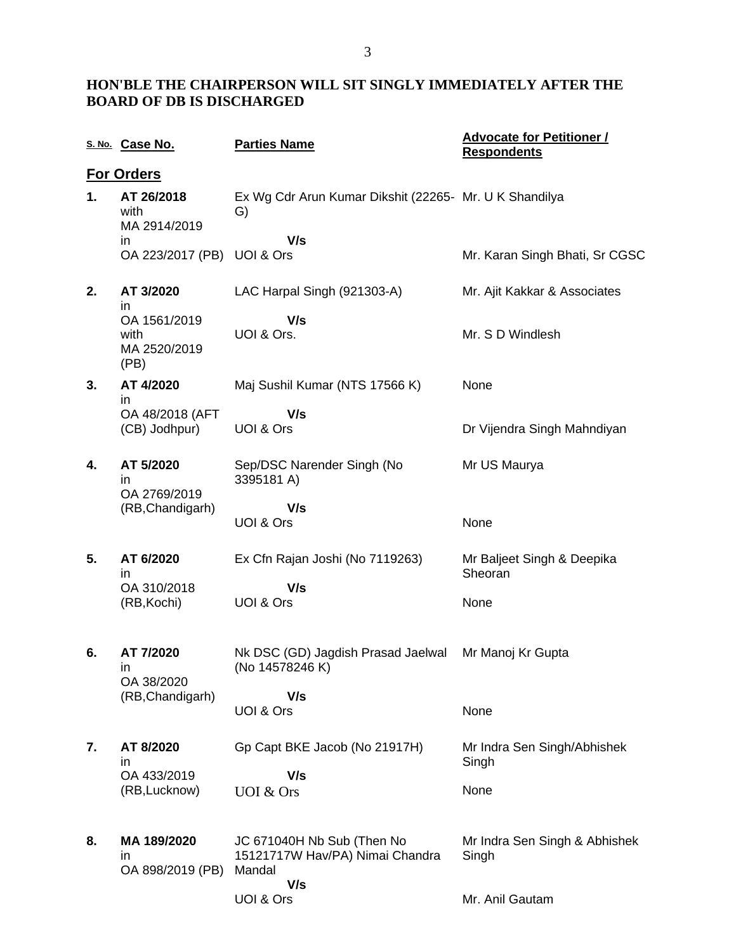### **HON'BLE THE CHAIRPERSON WILL SIT SINGLY IMMEDIATELY AFTER THE BOARD OF DB IS DISCHARGED**

|    | S. No. Case No.                              | <b>Parties Name</b>                                                     | <b>Advocate for Petitioner /</b><br><b>Respondents</b> |
|----|----------------------------------------------|-------------------------------------------------------------------------|--------------------------------------------------------|
|    | <b>For Orders</b>                            |                                                                         |                                                        |
| 1. | AT 26/2018<br>with<br>MA 2914/2019           | Ex Wg Cdr Arun Kumar Dikshit (22265- Mr. U K Shandilya<br>G)            |                                                        |
|    | ın<br>OA 223/2017 (PB)                       | V/s<br>UOI & Ors                                                        | Mr. Karan Singh Bhati, Sr CGSC                         |
| 2. | AT 3/2020<br>in                              | LAC Harpal Singh (921303-A)                                             | Mr. Ajit Kakkar & Associates                           |
|    | OA 1561/2019<br>with<br>MA 2520/2019<br>(PB) | V/s<br>UOI & Ors.                                                       | Mr. S D Windlesh                                       |
| 3. | AT 4/2020<br>in                              | Maj Sushil Kumar (NTS 17566 K)                                          | None                                                   |
|    | OA 48/2018 (AFT<br>(CB) Jodhpur)             | V/s<br>UOI & Ors                                                        | Dr Vijendra Singh Mahndiyan                            |
| 4. | AT 5/2020<br>in<br>OA 2769/2019              | Sep/DSC Narender Singh (No<br>3395181 A)                                | Mr US Maurya                                           |
|    | (RB, Chandigarh)                             | V/s<br>UOI & Ors                                                        | None                                                   |
| 5. | AT 6/2020<br>in.                             | Ex Cfn Rajan Joshi (No 7119263)                                         | Mr Baljeet Singh & Deepika<br>Sheoran                  |
|    | OA 310/2018<br>(RB, Kochi)                   | V/s<br>UOI & Ors                                                        | None                                                   |
| 6. | AT 7/2020<br>in.<br>OA 38/2020               | Nk DSC (GD) Jagdish Prasad Jaelwal<br>(No 14578246 K)                   | Mr Manoj Kr Gupta                                      |
|    | (RB, Chandigarh)                             | V/s<br>UOI & Ors                                                        | None                                                   |
| 7. | AT 8/2020<br>in.                             | Gp Capt BKE Jacob (No 21917H)                                           | Mr Indra Sen Singh/Abhishek<br>Singh                   |
|    | OA 433/2019<br>(RB, Lucknow)                 | V/s<br>UOI & Ors                                                        | None                                                   |
| 8. | MA 189/2020<br>in<br>OA 898/2019 (PB)        | JC 671040H Nb Sub (Then No<br>15121717W Hav/PA) Nimai Chandra<br>Mandal | Mr Indra Sen Singh & Abhishek<br>Singh                 |
|    |                                              | V/s<br>UOI & Ors                                                        | Mr. Anil Gautam                                        |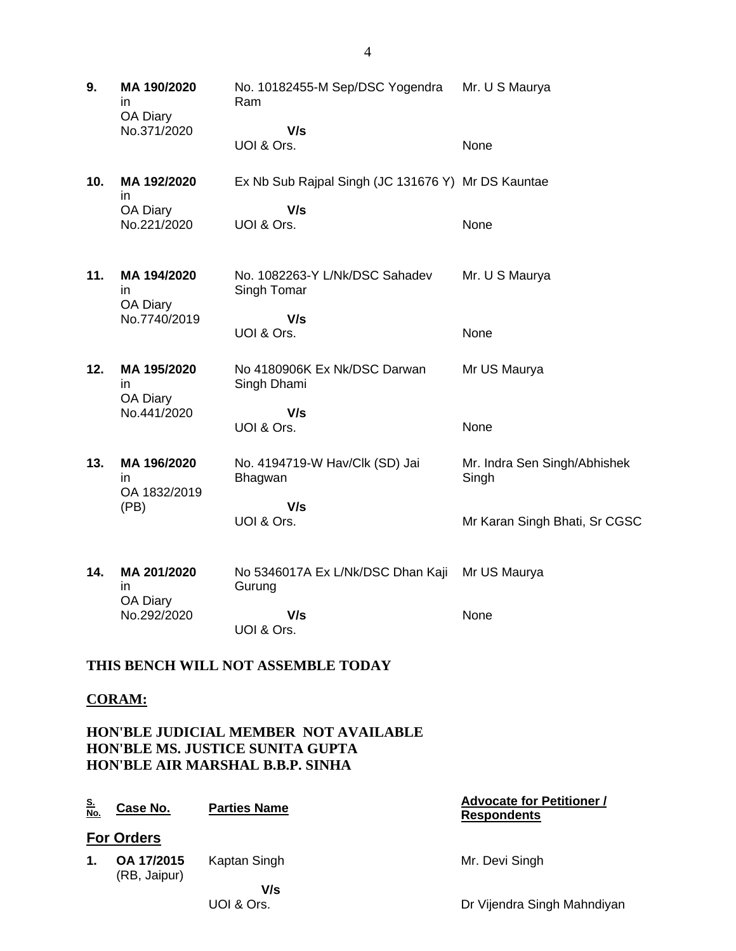**9. MA 190/2020** in OA Diary No.371/2020 No. 10182455-M Sep/DSC Yogendra Ram  **V/s** UOI & Ors. Mr. U S Maurya None **10. MA 192/2020** in OA Diary No.221/2020 Ex Nb Sub Rajpal Singh (JC 131676 Y) Mr DS Kauntae  **V/s** UOI & Ors. None **11. MA 194/2020** in OA Diary No.7740/2019 No. 1082263-Y L/Nk/DSC Sahadev Singh Tomar  **V/s** UOI & Ors. Mr. U S Maurya None **12. MA 195/2020** in OA Diary No.441/2020 No 4180906K Ex Nk/DSC Darwan Singh Dhami  **V/s** UOI & Ors. Mr US Maurya None **13. MA 196/2020** in OA 1832/2019 (PB) No. 4194719-W Hav/Clk (SD) Jai Bhagwan  **V/s** UOI & Ors. Mr. Indra Sen Singh/Abhishek Singh Mr Karan Singh Bhati, Sr CGSC **14. MA 201/2020** in OA Diary No.292/2020 No 5346017A Ex L/Nk/DSC Dhan Kaji Gurung  **V/s** UOI & Ors. Mr US Maurya None

#### **THIS BENCH WILL NOT ASSEMBLE TODAY**

#### **CORAM:**

#### **HON'BLE JUDICIAL MEMBER NOT AVAILABLE HON'BLE MS. JUSTICE SUNITA GUPTA HON'BLE AIR MARSHAL B.B.P. SINHA**

| No. | Case No. | <b>Parties Name</b> |
|-----|----------|---------------------|
|     |          |                     |

#### **No. Case No. Parties Name Advocate for Petitioner / Respondents**

**For Orders**

Mr. Devi Singh

**1. OA 17/2015**  (RB, Jaipur) Kaptan Singh

> **V/s** UOI & Ors.

Dr Vijendra Singh Mahndiyan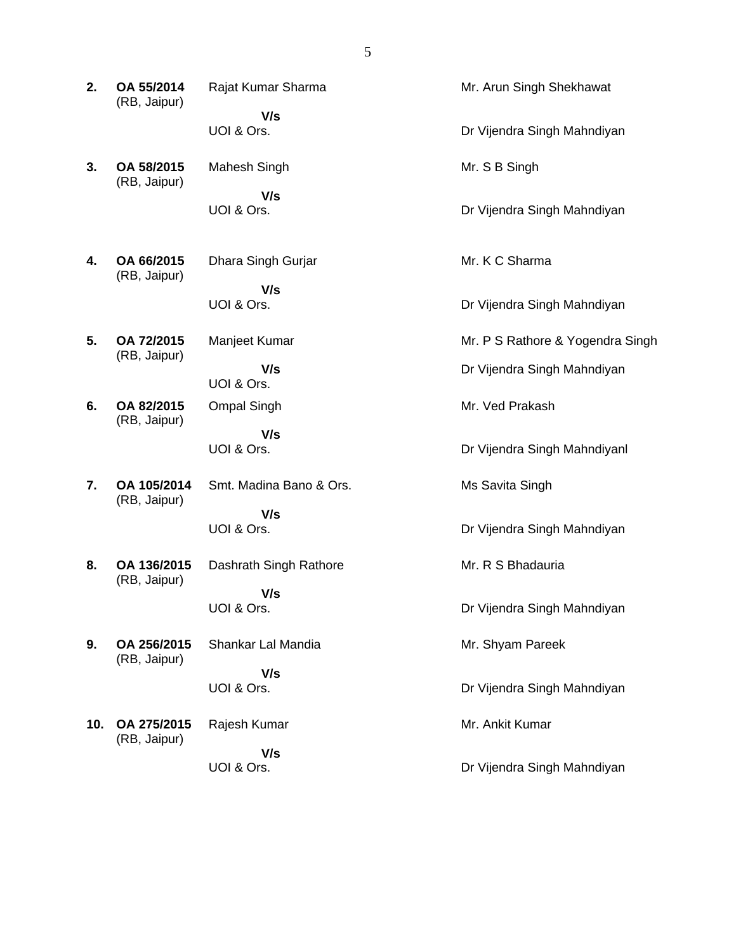| 2.  | OA 55/2014<br>(RB, Jaipur)  | Rajat Kumar Sharma      | Mr. Arun Singh Shekhawat         |
|-----|-----------------------------|-------------------------|----------------------------------|
|     |                             | V/s<br>UOI & Ors.       | Dr Vijendra Singh Mahndiyan      |
| 3.  | OA 58/2015<br>(RB, Jaipur)  | Mahesh Singh            | Mr. S B Singh                    |
|     |                             | V/s<br>UOI & Ors.       | Dr Vijendra Singh Mahndiyan      |
| 4.  | OA 66/2015<br>(RB, Jaipur)  | Dhara Singh Gurjar      | Mr. K C Sharma                   |
|     |                             | V/s<br>UOI & Ors.       | Dr Vijendra Singh Mahndiyan      |
| 5.  | OA 72/2015                  | Manjeet Kumar           | Mr. P S Rathore & Yogendra Singh |
|     | (RB, Jaipur)                | V/s<br>UOI & Ors.       | Dr Vijendra Singh Mahndiyan      |
| 6.  | OA 82/2015<br>(RB, Jaipur)  | <b>Ompal Singh</b>      | Mr. Ved Prakash                  |
|     |                             | V/s<br>UOI & Ors.       | Dr Vijendra Singh Mahndiyanl     |
| 7.  | OA 105/2014<br>(RB, Jaipur) | Smt. Madina Bano & Ors. | Ms Savita Singh                  |
|     |                             | V/s<br>UOI & Ors.       | Dr Vijendra Singh Mahndiyan      |
| 8.  | OA 136/2015<br>(RB, Jaipur) | Dashrath Singh Rathore  | Mr. R S Bhadauria                |
|     |                             | V/s<br>UOI & Ors.       | Dr Vijendra Singh Mahndiyan      |
| 9.  | OA 256/2015<br>(RB, Jaipur) | Shankar Lal Mandia      | Mr. Shyam Pareek                 |
|     |                             | V/s<br>UOI & Ors.       | Dr Vijendra Singh Mahndiyan      |
| 10. | OA 275/2015<br>(RB, Jaipur) | Rajesh Kumar            | Mr. Ankit Kumar                  |
|     |                             | V/s<br>UOI & Ors.       | Dr Vijendra Singh Mahndiyan      |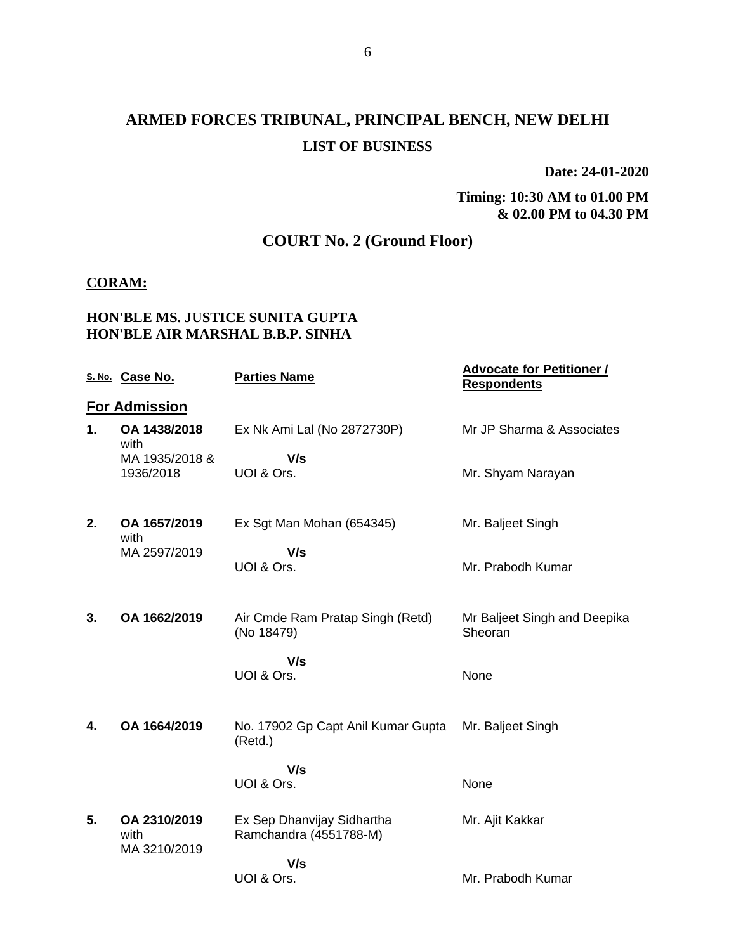# **ARMED FORCES TRIBUNAL, PRINCIPAL BENCH, NEW DELHI LIST OF BUSINESS**

**Date: 24-01-2020**

**Timing: 10:30 AM to 01.00 PM & 02.00 PM to 04.30 PM**

# **COURT No. 2 (Ground Floor)**

#### **CORAM:**

#### **HON'BLE MS. JUSTICE SUNITA GUPTA HON'BLE AIR MARSHAL B.B.P. SINHA**

|    | S. No. Case No.                      | <b>Parties Name</b>                                  | <b>Advocate for Petitioner /</b><br><b>Respondents</b> |
|----|--------------------------------------|------------------------------------------------------|--------------------------------------------------------|
|    | <b>For Admission</b>                 |                                                      |                                                        |
| 1. | OA 1438/2018<br>with                 | Ex Nk Ami Lal (No 2872730P)                          | Mr JP Sharma & Associates                              |
|    | MA 1935/2018 &<br>1936/2018          | V/s<br>UOI & Ors.                                    | Mr. Shyam Narayan                                      |
| 2. | OA 1657/2019<br>with                 | Ex Sgt Man Mohan (654345)                            | Mr. Baljeet Singh                                      |
|    | MA 2597/2019                         | V/s<br>UOI & Ors.                                    | Mr. Prabodh Kumar                                      |
| 3. | OA 1662/2019                         | Air Cmde Ram Pratap Singh (Retd)<br>(No 18479)       | Mr Baljeet Singh and Deepika<br>Sheoran                |
|    |                                      | V/s<br>UOI & Ors.                                    | None                                                   |
| 4. | OA 1664/2019                         | No. 17902 Gp Capt Anil Kumar Gupta<br>(Retd.)        | Mr. Baljeet Singh                                      |
|    |                                      | V/s<br>UOI & Ors.                                    | None                                                   |
| 5. | OA 2310/2019<br>with<br>MA 3210/2019 | Ex Sep Dhanvijay Sidhartha<br>Ramchandra (4551788-M) | Mr. Ajit Kakkar                                        |
|    |                                      | V/s                                                  |                                                        |
|    |                                      | UOI & Ors.                                           | Mr. Prabodh Kumar                                      |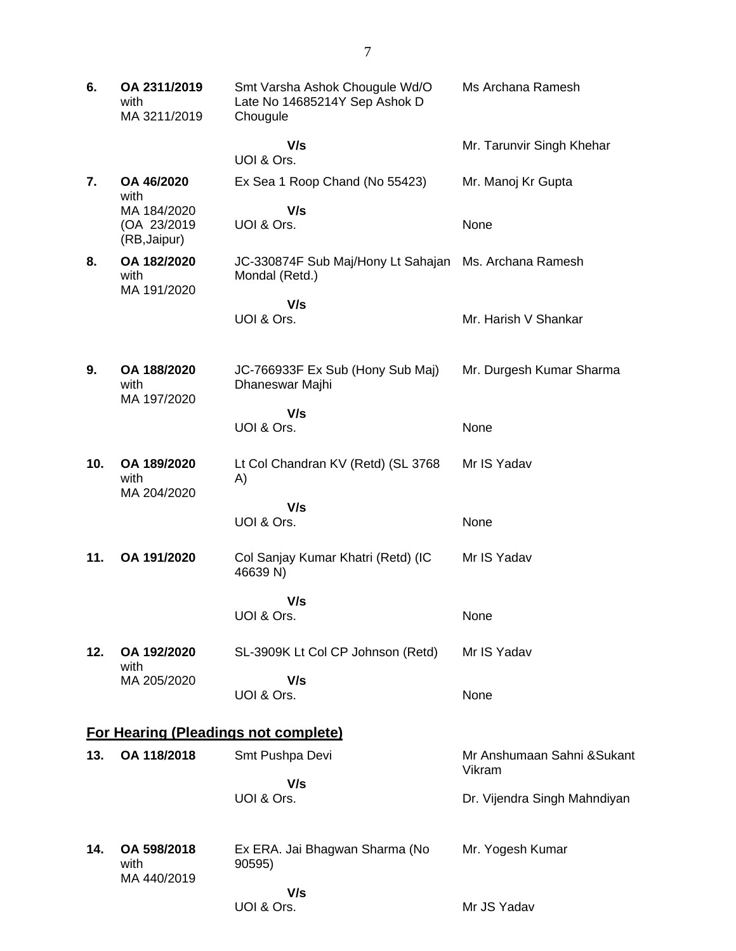| 6.  | OA 2311/2019<br>with<br>MA 3211/2019       | Smt Varsha Ashok Chougule Wd/O<br>Late No 14685214Y Sep Ashok D<br>Chougule | Ms Archana Ramesh                     |
|-----|--------------------------------------------|-----------------------------------------------------------------------------|---------------------------------------|
|     |                                            | V/s<br>UOI & Ors.                                                           | Mr. Tarunvir Singh Khehar             |
| 7.  | OA 46/2020<br>with                         | Ex Sea 1 Roop Chand (No 55423)                                              | Mr. Manoj Kr Gupta                    |
|     | MA 184/2020<br>(OA 23/2019<br>(RB, Jaipur) | V/s<br>UOI & Ors.                                                           | None                                  |
| 8.  | OA 182/2020<br>with<br>MA 191/2020         | JC-330874F Sub Maj/Hony Lt Sahajan Ms. Archana Ramesh<br>Mondal (Retd.)     |                                       |
|     |                                            | V/s<br>UOI & Ors.                                                           | Mr. Harish V Shankar                  |
| 9.  | OA 188/2020<br>with<br>MA 197/2020         | JC-766933F Ex Sub (Hony Sub Maj)<br>Dhaneswar Majhi                         | Mr. Durgesh Kumar Sharma              |
|     |                                            | V/s<br>UOI & Ors.                                                           | None                                  |
| 10. | OA 189/2020<br>with<br>MA 204/2020         | Lt Col Chandran KV (Retd) (SL 3768<br>A)                                    | Mr IS Yadav                           |
|     |                                            | V/s<br>UOI & Ors.                                                           | None                                  |
| 11. | OA 191/2020                                | Col Sanjay Kumar Khatri (Retd) (IC<br>46639 N)                              | Mr IS Yadav                           |
|     |                                            | V/s<br>UOI & Ors.                                                           | None                                  |
| 12. | OA 192/2020<br>with                        | SL-3909K Lt Col CP Johnson (Retd)                                           | Mr IS Yadav                           |
|     | MA 205/2020                                | V/s<br>UOI & Ors.                                                           | None                                  |
|     |                                            | <b>For Hearing (Pleadings not complete)</b>                                 |                                       |
| 13. | OA 118/2018                                | Smt Pushpa Devi                                                             | Mr Anshumaan Sahni & Sukant<br>Vikram |
|     |                                            | V/s<br>UOI & Ors.                                                           | Dr. Vijendra Singh Mahndiyan          |
| 14. | OA 598/2018<br>with<br>MA 440/2019         | Ex ERA. Jai Bhagwan Sharma (No<br>90595)                                    | Mr. Yogesh Kumar                      |
|     |                                            | V/s<br>UOI & Ors.                                                           | Mr JS Yadav                           |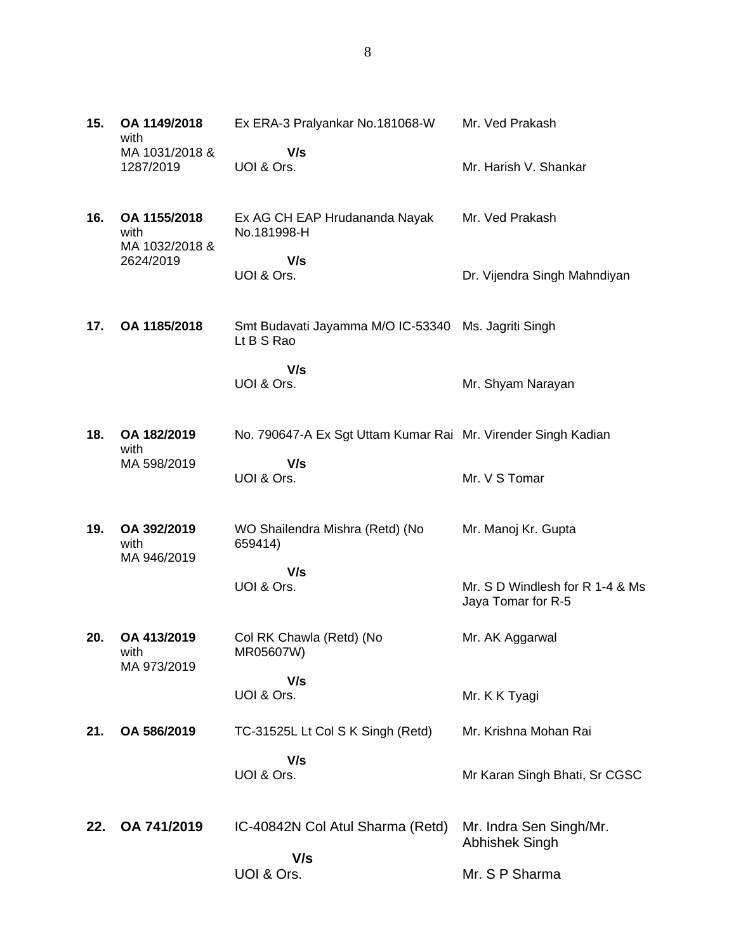| 15. | OA 1149/2018<br>with<br>MA 1031/2018 & | Ex ERA-3 Pralyankar No.181068-W<br>V/s                            | Mr. Ved Prakash                                       |
|-----|----------------------------------------|-------------------------------------------------------------------|-------------------------------------------------------|
|     | 1287/2019                              | UOI & Ors.                                                        | Mr. Harish V. Shankar                                 |
| 16. | OA 1155/2018<br>with<br>MA 1032/2018 & | Ex AG CH EAP Hrudananda Nayak<br>No.181998-H                      | Mr. Ved Prakash                                       |
|     | 2624/2019                              | V/s<br>UOI & Ors.                                                 | Dr. Vijendra Singh Mahndiyan                          |
| 17. | OA 1185/2018                           | Smt Budavati Jayamma M/O IC-53340 Ms. Jagriti Singh<br>Lt B S Rao |                                                       |
|     |                                        | V/s<br>UOI & Ors.                                                 | Mr. Shyam Narayan                                     |
| 18. | OA 182/2019<br>with                    | No. 790647-A Ex Sgt Uttam Kumar Rai Mr. Virender Singh Kadian     |                                                       |
|     | MA 598/2019                            | V/s<br>UOI & Ors.                                                 | Mr. V S Tomar                                         |
| 19. | OA 392/2019<br>with<br>MA 946/2019     | WO Shailendra Mishra (Retd) (No<br>659414)                        | Mr. Manoj Kr. Gupta                                   |
|     |                                        | V/s<br>UOI & Ors.                                                 | Mr. S D Windlesh for R 1-4 & Ms<br>Jaya Tomar for R-5 |
| 20. | OA 413/2019<br>with<br>MA 973/2019     | Col RK Chawla (Retd) (No<br>MR05607W)                             | Mr. AK Aggarwal                                       |
|     |                                        | V/s<br>UOI & Ors.                                                 | Mr. K K Tyagi                                         |
| 21. | OA 586/2019                            | TC-31525L Lt Col S K Singh (Retd)                                 | Mr. Krishna Mohan Rai                                 |
|     |                                        | V/s<br>UOI & Ors.                                                 | Mr Karan Singh Bhati, Sr CGSC                         |
| 22. | OA 741/2019                            | IC-40842N Col Atul Sharma (Retd)<br>V/s                           | Mr. Indra Sen Singh/Mr.<br><b>Abhishek Singh</b>      |
|     |                                        | UOI & Ors.                                                        | Mr. S P Sharma                                        |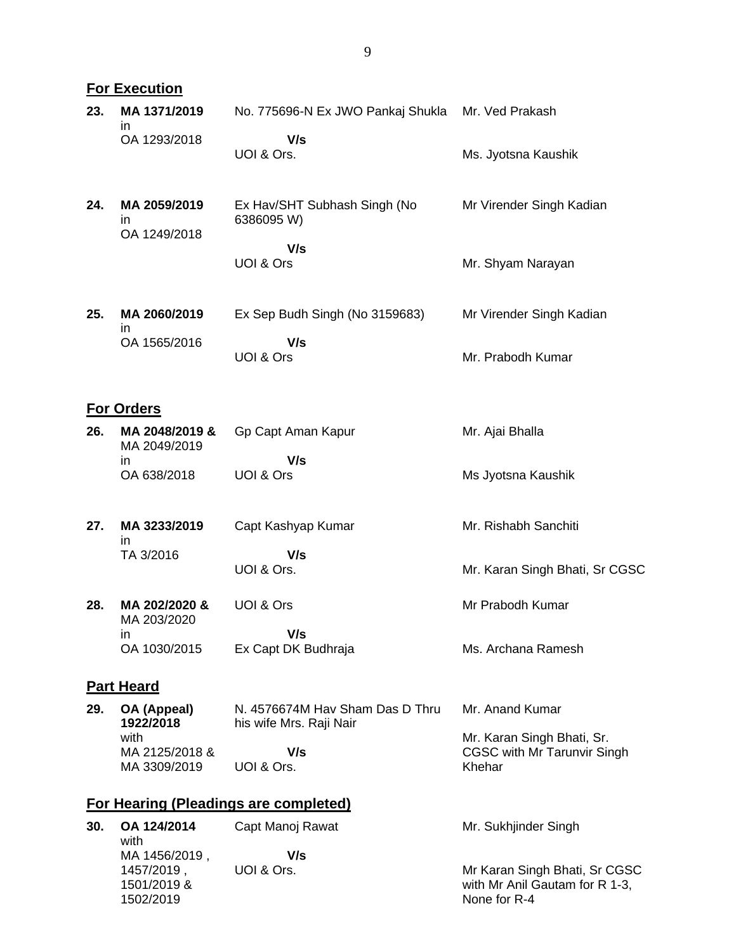|     | <b>For Execution</b>                |                                                            |                                |  |  |
|-----|-------------------------------------|------------------------------------------------------------|--------------------------------|--|--|
| 23. | MA 1371/2019<br>in.                 | No. 775696-N Ex JWO Pankaj Shukla                          | Mr. Ved Prakash                |  |  |
|     | OA 1293/2018                        | V/s<br>UOI & Ors.                                          | Ms. Jyotsna Kaushik            |  |  |
| 24. | MA 2059/2019<br>in.<br>OA 1249/2018 | Ex Hav/SHT Subhash Singh (No<br>6386095 W)                 | Mr Virender Singh Kadian       |  |  |
|     |                                     | V/s<br>UOI & Ors                                           | Mr. Shyam Narayan              |  |  |
| 25. | MA 2060/2019<br>in.                 | Ex Sep Budh Singh (No 3159683)                             | Mr Virender Singh Kadian       |  |  |
|     | OA 1565/2016                        | V/s<br>UOI & Ors                                           | Mr. Prabodh Kumar              |  |  |
|     | <b>For Orders</b>                   |                                                            |                                |  |  |
| 26. | MA 2048/2019 &<br>MA 2049/2019      | Gp Capt Aman Kapur                                         | Mr. Ajai Bhalla                |  |  |
|     | in.<br>OA 638/2018                  | V/s<br>UOI & Ors                                           | Ms Jyotsna Kaushik             |  |  |
| 27. | MA 3233/2019<br>in                  | Capt Kashyap Kumar                                         | Mr. Rishabh Sanchiti           |  |  |
|     | TA 3/2016                           | V/s<br>UOI & Ors.                                          | Mr. Karan Singh Bhati, Sr CGSC |  |  |
| 28. | MA 202/2020 &<br>MA 203/2020        | UOI & Ors                                                  | Mr Prabodh Kumar               |  |  |
|     | in<br>OA 1030/2015                  | V/s<br>Ex Capt DK Budhraja                                 | Ms. Archana Ramesh             |  |  |
|     | <b>Part Heard</b>                   |                                                            |                                |  |  |
| 29. | OA (Appeal)<br>1022/2018            | N. 4576674M Hav Sham Das D Thru<br>his wife Mrs. Raii Nair | Mr. Anand Kumar                |  |  |

**1922/2018** with MA 2125/2018 & MA 3309/2019 his wife Mrs. Raji Nair  **V/s** UOI & Ors. Mr. Karan Singh Bhati, Sr. CGSC with Mr Tarunvir Singh Khehar

# **For Hearing (Pleadings are completed)**

| 30. | OA 124/2014<br>with | Capt Manoj Rawat | Mr. Sukhjinder Singh           |
|-----|---------------------|------------------|--------------------------------|
|     | MA 1456/2019        | V/s              |                                |
|     | 1457/2019.          | UOI & Ors.       | Mr Karan Singh Bhati, Sr CGSC  |
|     | 1501/2019 &         |                  | with Mr Anil Gautam for R 1-3, |
|     | 1502/2019           |                  | None for R-4                   |